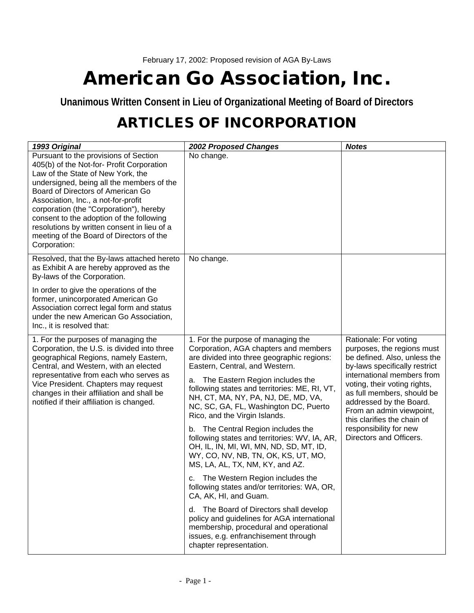## **American Go Association, Inc.**

**Unanimous Written Consent in Lieu of Organizational Meeting of Board of Directors**

## **ARTICLES OF INCORPORATION**

| 1993 Original                                                                                                                                                                                                                                                                                                                                                                                                                                      | <b>2002 Proposed Changes</b>                                                                                                                                                                                                                                                                                                                                                                                                                                                                                                                                                                                                                                                                                                                       | <b>Notes</b>                                                                                                                                                                                                                                                                                                                                                |
|----------------------------------------------------------------------------------------------------------------------------------------------------------------------------------------------------------------------------------------------------------------------------------------------------------------------------------------------------------------------------------------------------------------------------------------------------|----------------------------------------------------------------------------------------------------------------------------------------------------------------------------------------------------------------------------------------------------------------------------------------------------------------------------------------------------------------------------------------------------------------------------------------------------------------------------------------------------------------------------------------------------------------------------------------------------------------------------------------------------------------------------------------------------------------------------------------------------|-------------------------------------------------------------------------------------------------------------------------------------------------------------------------------------------------------------------------------------------------------------------------------------------------------------------------------------------------------------|
| Pursuant to the provisions of Section<br>405(b) of the Not-for- Profit Corporation<br>Law of the State of New York, the<br>undersigned, being all the members of the<br>Board of Directors of American Go<br>Association, Inc., a not-for-profit<br>corporation (the "Corporation"), hereby<br>consent to the adoption of the following<br>resolutions by written consent in lieu of a<br>meeting of the Board of Directors of the<br>Corporation: | No change.                                                                                                                                                                                                                                                                                                                                                                                                                                                                                                                                                                                                                                                                                                                                         |                                                                                                                                                                                                                                                                                                                                                             |
| Resolved, that the By-laws attached hereto<br>as Exhibit A are hereby approved as the<br>By-laws of the Corporation.                                                                                                                                                                                                                                                                                                                               | No change.                                                                                                                                                                                                                                                                                                                                                                                                                                                                                                                                                                                                                                                                                                                                         |                                                                                                                                                                                                                                                                                                                                                             |
| In order to give the operations of the<br>former, unincorporated American Go<br>Association correct legal form and status<br>under the new American Go Association,<br>Inc., it is resolved that:                                                                                                                                                                                                                                                  |                                                                                                                                                                                                                                                                                                                                                                                                                                                                                                                                                                                                                                                                                                                                                    |                                                                                                                                                                                                                                                                                                                                                             |
| 1. For the purposes of managing the<br>Corporation, the U.S. is divided into three<br>geographical Regions, namely Eastern,<br>Central, and Western, with an elected<br>representative from each who serves as<br>Vice President. Chapters may request<br>changes in their affiliation and shall be<br>notified if their affiliation is changed.                                                                                                   | 1. For the purpose of managing the<br>Corporation, AGA chapters and members<br>are divided into three geographic regions:<br>Eastern, Central, and Western.<br>The Eastern Region includes the<br>a.<br>following states and territories: ME, RI, VT,<br>NH, CT, MA, NY, PA, NJ, DE, MD, VA,<br>NC, SC, GA, FL, Washington DC, Puerto<br>Rico, and the Virgin Islands.<br>The Central Region includes the<br>b.<br>following states and territories: WV, IA, AR,<br>OH, IL, IN, MI, WI, MN, ND, SD, MT, ID,<br>WY, CO, NV, NB, TN, OK, KS, UT, MO,<br>MS, LA, AL, TX, NM, KY, and AZ.<br>c. The Western Region includes the<br>following states and/or territories: WA, OR,<br>CA, AK, HI, and Guam.<br>The Board of Directors shall develop<br>d. | Rationale: For voting<br>purposes, the regions must<br>be defined. Also, unless the<br>by-laws specifically restrict<br>international members from<br>voting, their voting rights,<br>as full members, should be<br>addressed by the Board.<br>From an admin viewpoint,<br>this clarifies the chain of<br>responsibility for new<br>Directors and Officers. |
|                                                                                                                                                                                                                                                                                                                                                                                                                                                    | policy and guidelines for AGA international<br>membership, procedural and operational<br>issues, e.g. enfranchisement through<br>chapter representation.                                                                                                                                                                                                                                                                                                                                                                                                                                                                                                                                                                                           |                                                                                                                                                                                                                                                                                                                                                             |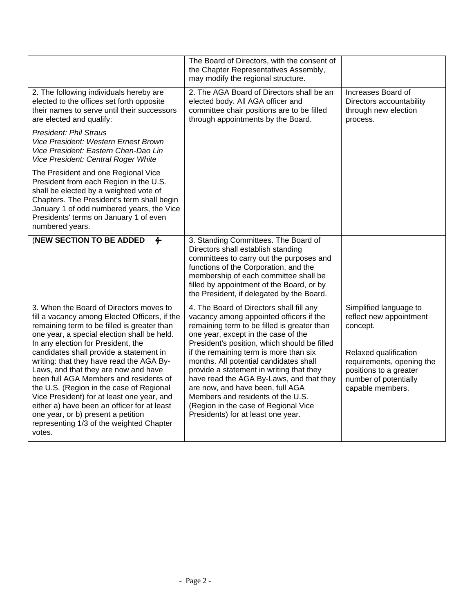|                                                                                                                                                                                                                                                                                                                                                                                                                                                                                                                                                                                                                                            | The Board of Directors, with the consent of<br>the Chapter Representatives Assembly,<br>may modify the regional structure.                                                                                                                                                                                                                                                                                                                                                                                                                                   |                                                                                                                                                                                            |
|--------------------------------------------------------------------------------------------------------------------------------------------------------------------------------------------------------------------------------------------------------------------------------------------------------------------------------------------------------------------------------------------------------------------------------------------------------------------------------------------------------------------------------------------------------------------------------------------------------------------------------------------|--------------------------------------------------------------------------------------------------------------------------------------------------------------------------------------------------------------------------------------------------------------------------------------------------------------------------------------------------------------------------------------------------------------------------------------------------------------------------------------------------------------------------------------------------------------|--------------------------------------------------------------------------------------------------------------------------------------------------------------------------------------------|
| 2. The following individuals hereby are<br>elected to the offices set forth opposite<br>their names to serve until their successors<br>are elected and qualify:                                                                                                                                                                                                                                                                                                                                                                                                                                                                            | 2. The AGA Board of Directors shall be an<br>elected body. All AGA officer and<br>committee chair positions are to be filled<br>through appointments by the Board.                                                                                                                                                                                                                                                                                                                                                                                           | Increases Board of<br>Directors accountability<br>through new election<br>process.                                                                                                         |
| <b>President: Phil Straus</b><br>Vice President: Western Ernest Brown<br>Vice President: Eastern Chen-Dao Lin<br>Vice President: Central Roger White                                                                                                                                                                                                                                                                                                                                                                                                                                                                                       |                                                                                                                                                                                                                                                                                                                                                                                                                                                                                                                                                              |                                                                                                                                                                                            |
| The President and one Regional Vice<br>President from each Region in the U.S.<br>shall be elected by a weighted vote of<br>Chapters. The President's term shall begin<br>January 1 of odd numbered years, the Vice<br>Presidents' terms on January 1 of even<br>numbered years.                                                                                                                                                                                                                                                                                                                                                            |                                                                                                                                                                                                                                                                                                                                                                                                                                                                                                                                                              |                                                                                                                                                                                            |
| (NEW SECTION TO BE ADDED<br>$\ddot{\mathbf{r}}$                                                                                                                                                                                                                                                                                                                                                                                                                                                                                                                                                                                            | 3. Standing Committees. The Board of<br>Directors shall establish standing<br>committees to carry out the purposes and<br>functions of the Corporation, and the<br>membership of each committee shall be<br>filled by appointment of the Board, or by<br>the President, if delegated by the Board.                                                                                                                                                                                                                                                           |                                                                                                                                                                                            |
| 3. When the Board of Directors moves to<br>fill a vacancy among Elected Officers, if the<br>remaining term to be filled is greater than<br>one year, a special election shall be held.<br>In any election for President, the<br>candidates shall provide a statement in<br>writing: that they have read the AGA By-<br>Laws, and that they are now and have<br>been full AGA Members and residents of<br>the U.S. (Region in the case of Regional<br>Vice President) for at least one year, and<br>either a) have been an officer for at least<br>one year, or b) present a petition<br>representing 1/3 of the weighted Chapter<br>votes. | 4. The Board of Directors shall fill any<br>vacancy among appointed officers if the<br>remaining term to be filled is greater than<br>one year, except in the case of the<br>President's position, which should be filled<br>if the remaining term is more than six<br>months. All potential candidates shall<br>provide a statement in writing that they<br>have read the AGA By-Laws, and that they<br>are now, and have been, full AGA<br>Members and residents of the U.S.<br>(Region in the case of Regional Vice<br>Presidents) for at least one year. | Simplified language to<br>reflect new appointment<br>concept.<br>Relaxed qualification<br>requirements, opening the<br>positions to a greater<br>number of potentially<br>capable members. |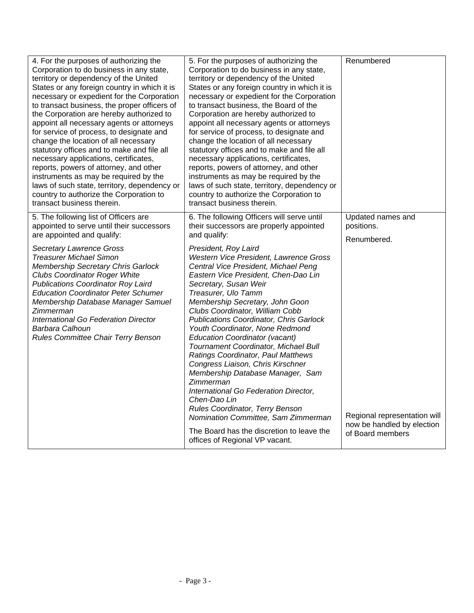| 4. For the purposes of authorizing the<br>Corporation to do business in any state,<br>territory or dependency of the United<br>States or any foreign country in which it is<br>necessary or expedient for the Corporation<br>to transact business, the proper officers of<br>the Corporation are hereby authorized to<br>appoint all necessary agents or attorneys<br>for service of process, to designate and<br>change the location of all necessary<br>statutory offices and to make and file all<br>necessary applications, certificates,<br>reports, powers of attorney, and other<br>instruments as may be required by the<br>laws of such state, territory, dependency or<br>country to authorize the Corporation to<br>transact business therein. | 5. For the purposes of authorizing the<br>Corporation to do business in any state,<br>territory or dependency of the United<br>States or any foreign country in which it is<br>necessary or expedient for the Corporation<br>to transact business, the Board of the<br>Corporation are hereby authorized to<br>appoint all necessary agents or attorneys<br>for service of process, to designate and<br>change the location of all necessary<br>statutory offices and to make and file all<br>necessary applications, certificates,<br>reports, powers of attorney, and other<br>instruments as may be required by the<br>laws of such state, territory, dependency or<br>country to authorize the Corporation to<br>transact business therein.                                                                                                                                                   | Renumbered                                                                                                                       |
|-----------------------------------------------------------------------------------------------------------------------------------------------------------------------------------------------------------------------------------------------------------------------------------------------------------------------------------------------------------------------------------------------------------------------------------------------------------------------------------------------------------------------------------------------------------------------------------------------------------------------------------------------------------------------------------------------------------------------------------------------------------|---------------------------------------------------------------------------------------------------------------------------------------------------------------------------------------------------------------------------------------------------------------------------------------------------------------------------------------------------------------------------------------------------------------------------------------------------------------------------------------------------------------------------------------------------------------------------------------------------------------------------------------------------------------------------------------------------------------------------------------------------------------------------------------------------------------------------------------------------------------------------------------------------|----------------------------------------------------------------------------------------------------------------------------------|
| 5. The following list of Officers are<br>appointed to serve until their successors<br>are appointed and qualify:<br><b>Secretary Lawrence Gross</b><br><b>Treasurer Michael Simon</b><br>Membership Secretary Chris Garlock<br><b>Clubs Coordinator Roger White</b><br><b>Publications Coordinator Roy Laird</b><br><b>Education Coordinator Peter Schumer</b><br>Membership Database Manager Samuel<br>Zimmerman<br>International Go Federation Director<br>Barbara Calhoun<br>Rules Committee Chair Terry Benson                                                                                                                                                                                                                                        | 6. The following Officers will serve until<br>their successors are properly appointed<br>and qualify:<br>President, Roy Laird<br>Western Vice President, Lawrence Gross<br>Central Vice President, Michael Peng<br>Eastern Vice President, Chen-Dao Lin<br>Secretary, Susan Weir<br>Treasurer, Ulo Tamm<br>Membership Secretary, John Goon<br>Clubs Coordinator, William Cobb<br><b>Publications Coordinator, Chris Garlock</b><br>Youth Coordinator, None Redmond<br><b>Education Coordinator (vacant)</b><br>Tournament Coordinator, Michael Bull<br>Ratings Coordinator, Paul Matthews<br>Congress Liaison, Chris Kirschner<br>Membership Database Manager, Sam<br>Zimmerman<br>International Go Federation Director,<br>Chen-Dao Lin<br>Rules Coordinator, Terry Benson<br>Nomination Committee, Sam Zimmerman<br>The Board has the discretion to leave the<br>offices of Regional VP vacant. | Updated names and<br>positions.<br>Renumbered.<br>Regional representation will<br>now be handled by election<br>of Board members |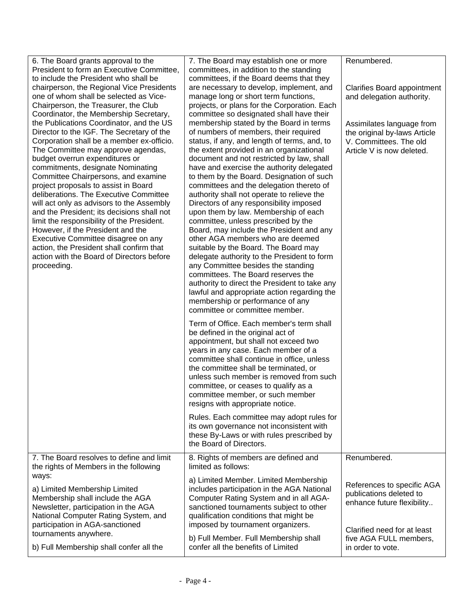| 6. The Board grants approval to the<br>President to form an Executive Committee,<br>to include the President who shall be<br>chairperson, the Regional Vice Presidents<br>one of whom shall be selected as Vice-<br>Chairperson, the Treasurer, the Club<br>Coordinator, the Membership Secretary,<br>the Publications Coordinator, and the US<br>Director to the IGF. The Secretary of the<br>Corporation shall be a member ex-officio.<br>The Committee may approve agendas,<br>budget overrun expenditures or<br>commitments, designate Nominating<br>Committee Chairpersons, and examine<br>project proposals to assist in Board<br>deliberations. The Executive Committee<br>will act only as advisors to the Assembly<br>and the President; its decisions shall not<br>limit the responsibility of the President.<br>However, if the President and the<br>Executive Committee disagree on any<br>action, the President shall confirm that<br>action with the Board of Directors before<br>proceeding. | 7. The Board may establish one or more<br>committees, in addition to the standing<br>committees, if the Board deems that they<br>are necessary to develop, implement, and<br>manage long or short term functions,<br>projects, or plans for the Corporation. Each<br>committee so designated shall have their<br>membership stated by the Board in terms<br>of numbers of members, their required<br>status, if any, and length of terms, and, to<br>the extent provided in an organizational<br>document and not restricted by law, shall<br>have and exercise the authority delegated<br>to them by the Board. Designation of such<br>committees and the delegation thereto of<br>authority shall not operate to relieve the<br>Directors of any responsibility imposed<br>upon them by law. Membership of each<br>committee, unless prescribed by the<br>Board, may include the President and any<br>other AGA members who are deemed<br>suitable by the Board. The Board may<br>delegate authority to the President to form<br>any Committee besides the standing<br>committees. The Board reserves the<br>authority to direct the President to take any<br>lawful and appropriate action regarding the<br>membership or performance of any<br>committee or committee member.<br>Term of Office. Each member's term shall<br>be defined in the original act of<br>appointment, but shall not exceed two<br>years in any case. Each member of a<br>committee shall continue in office, unless<br>the committee shall be terminated, or<br>unless such member is removed from such<br>committee, or ceases to qualify as a<br>committee member, or such member<br>resigns with appropriate notice.<br>Rules. Each committee may adopt rules for<br>its own governance not inconsistent with<br>these By-Laws or with rules prescribed by<br>the Board of Directors. | Renumbered.<br><b>Clarifies Board appointment</b><br>and delegation authority.<br>Assimilates language from<br>the original by-laws Article<br>V. Committees. The old<br>Article V is now deleted. |
|-------------------------------------------------------------------------------------------------------------------------------------------------------------------------------------------------------------------------------------------------------------------------------------------------------------------------------------------------------------------------------------------------------------------------------------------------------------------------------------------------------------------------------------------------------------------------------------------------------------------------------------------------------------------------------------------------------------------------------------------------------------------------------------------------------------------------------------------------------------------------------------------------------------------------------------------------------------------------------------------------------------|-----------------------------------------------------------------------------------------------------------------------------------------------------------------------------------------------------------------------------------------------------------------------------------------------------------------------------------------------------------------------------------------------------------------------------------------------------------------------------------------------------------------------------------------------------------------------------------------------------------------------------------------------------------------------------------------------------------------------------------------------------------------------------------------------------------------------------------------------------------------------------------------------------------------------------------------------------------------------------------------------------------------------------------------------------------------------------------------------------------------------------------------------------------------------------------------------------------------------------------------------------------------------------------------------------------------------------------------------------------------------------------------------------------------------------------------------------------------------------------------------------------------------------------------------------------------------------------------------------------------------------------------------------------------------------------------------------------------------------------------------------------------------------------------------------------------------------------------------------------------------|----------------------------------------------------------------------------------------------------------------------------------------------------------------------------------------------------|
| 7. The Board resolves to define and limit<br>the rights of Members in the following<br>ways:<br>a) Limited Membership Limited<br>Membership shall include the AGA<br>Newsletter, participation in the AGA<br>National Computer Rating System, and<br>participation in AGA-sanctioned<br>tournaments anywhere.<br>b) Full Membership shall confer all the                                                                                                                                                                                                                                                                                                                                                                                                                                                                                                                                                                                                                                                    | 8. Rights of members are defined and<br>limited as follows:<br>a) Limited Member. Limited Membership<br>includes participation in the AGA National<br>Computer Rating System and in all AGA-<br>sanctioned tournaments subject to other<br>qualification conditions that might be<br>imposed by tournament organizers.<br>b) Full Member. Full Membership shall<br>confer all the benefits of Limited                                                                                                                                                                                                                                                                                                                                                                                                                                                                                                                                                                                                                                                                                                                                                                                                                                                                                                                                                                                                                                                                                                                                                                                                                                                                                                                                                                                                                                                                 | Renumbered.<br>References to specific AGA<br>publications deleted to<br>enhance future flexibility<br>Clarified need for at least<br>five AGA FULL members,<br>in order to vote.                   |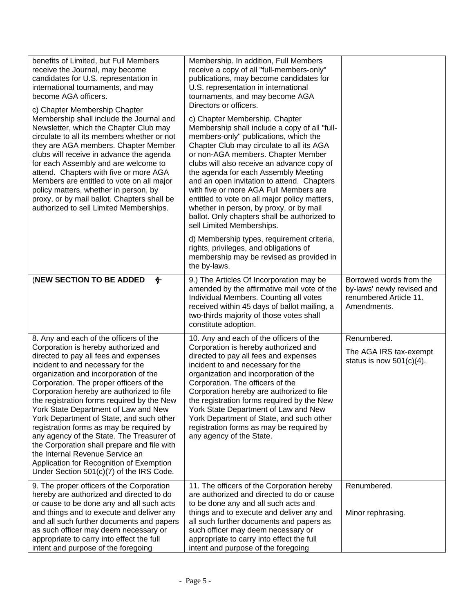| benefits of Limited, but Full Members<br>receive the Journal, may become<br>candidates for U.S. representation in<br>international tournaments, and may<br>become AGA officers.<br>c) Chapter Membership Chapter<br>Membership shall include the Journal and<br>Newsletter, which the Chapter Club may<br>circulate to all its members whether or not<br>they are AGA members. Chapter Member<br>clubs will receive in advance the agenda<br>for each Assembly and are welcome to<br>attend. Chapters with five or more AGA<br>Members are entitled to vote on all major<br>policy matters, whether in person, by<br>proxy, or by mail ballot. Chapters shall be<br>authorized to sell Limited Memberships. | Membership. In addition, Full Members<br>receive a copy of all "full-members-only"<br>publications, may become candidates for<br>U.S. representation in international<br>tournaments, and may become AGA<br>Directors or officers.<br>c) Chapter Membership. Chapter<br>Membership shall include a copy of all "full-<br>members-only" publications, which the<br>Chapter Club may circulate to all its AGA<br>or non-AGA members. Chapter Member<br>clubs will also receive an advance copy of<br>the agenda for each Assembly Meeting<br>and an open invitation to attend. Chapters<br>with five or more AGA Full Members are<br>entitled to vote on all major policy matters,<br>whether in person, by proxy, or by mail<br>ballot. Only chapters shall be authorized to<br>sell Limited Memberships.<br>d) Membership types, requirement criteria,<br>rights, privileges, and obligations of<br>membership may be revised as provided in<br>the by-laws. |                                                                                                |
|-------------------------------------------------------------------------------------------------------------------------------------------------------------------------------------------------------------------------------------------------------------------------------------------------------------------------------------------------------------------------------------------------------------------------------------------------------------------------------------------------------------------------------------------------------------------------------------------------------------------------------------------------------------------------------------------------------------|--------------------------------------------------------------------------------------------------------------------------------------------------------------------------------------------------------------------------------------------------------------------------------------------------------------------------------------------------------------------------------------------------------------------------------------------------------------------------------------------------------------------------------------------------------------------------------------------------------------------------------------------------------------------------------------------------------------------------------------------------------------------------------------------------------------------------------------------------------------------------------------------------------------------------------------------------------------|------------------------------------------------------------------------------------------------|
| (NEW SECTION TO BE ADDED<br>$\bigoplus$                                                                                                                                                                                                                                                                                                                                                                                                                                                                                                                                                                                                                                                                     | 9.) The Articles Of Incorporation may be<br>amended by the affirmative mail vote of the<br>Individual Members. Counting all votes<br>received within 45 days of ballot mailing, a<br>two-thirds majority of those votes shall<br>constitute adoption.                                                                                                                                                                                                                                                                                                                                                                                                                                                                                                                                                                                                                                                                                                        | Borrowed words from the<br>by-laws' newly revised and<br>renumbered Article 11.<br>Amendments. |
| 8. Any and each of the officers of the<br>Corporation is hereby authorized and<br>directed to pay all fees and expenses<br>incident to and necessary for the<br>organization and incorporation of the<br>Corporation. The proper officers of the<br>Corporation hereby are authorized to file<br>the registration forms required by the New<br>York State Department of Law and New<br>York Department of State, and such other<br>registration forms as may be required by<br>any agency of the State. The Treasurer of<br>the Corporation shall prepare and file with<br>the Internal Revenue Service an<br>Application for Recognition of Exemption<br>Under Section 501(c)(7) of the IRS Code.          | 10. Any and each of the officers of the<br>Corporation is hereby authorized and<br>directed to pay all fees and expenses<br>incident to and necessary for the<br>organization and incorporation of the<br>Corporation. The officers of the<br>Corporation hereby are authorized to file<br>the registration forms required by the New<br>York State Department of Law and New<br>York Department of State, and such other<br>registration forms as may be required by<br>any agency of the State.                                                                                                                                                                                                                                                                                                                                                                                                                                                            | Renumbered.<br>The AGA IRS tax-exempt<br>status is now $501(c)(4)$ .                           |
| 9. The proper officers of the Corporation<br>hereby are authorized and directed to do<br>or cause to be done any and all such acts<br>and things and to execute and deliver any<br>and all such further documents and papers<br>as such officer may deem necessary or<br>appropriate to carry into effect the full<br>intent and purpose of the foregoing                                                                                                                                                                                                                                                                                                                                                   | 11. The officers of the Corporation hereby<br>are authorized and directed to do or cause<br>to be done any and all such acts and<br>things and to execute and deliver any and<br>all such further documents and papers as<br>such officer may deem necessary or<br>appropriate to carry into effect the full<br>intent and purpose of the foregoing                                                                                                                                                                                                                                                                                                                                                                                                                                                                                                                                                                                                          | Renumbered.<br>Minor rephrasing.                                                               |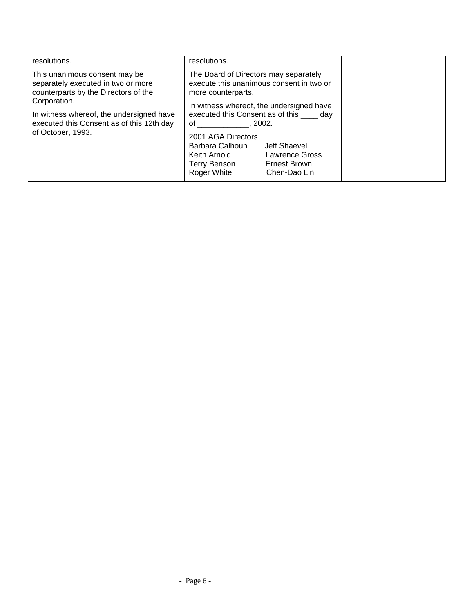| resolutions.                                                                                                                                                                                                                              | resolutions.                                                                                                                                                                                                                                                                                                                                                                              |  |
|-------------------------------------------------------------------------------------------------------------------------------------------------------------------------------------------------------------------------------------------|-------------------------------------------------------------------------------------------------------------------------------------------------------------------------------------------------------------------------------------------------------------------------------------------------------------------------------------------------------------------------------------------|--|
| This unanimous consent may be<br>separately executed in two or more<br>counterparts by the Directors of the<br>Corporation.<br>In witness whereof, the undersigned have<br>executed this Consent as of this 12th day<br>of October, 1993. | The Board of Directors may separately<br>execute this unanimous consent in two or<br>more counterparts.<br>In witness whereof, the undersigned have<br>executed this Consent as of this _____ day<br>$\circ$ f<br>.2002.<br>2001 AGA Directors<br>Barbara Calhoun<br>Jeff Shaevel<br>Lawrence Gross<br>Keith Arnold<br>Ernest Brown<br><b>Terry Benson</b><br>Roger White<br>Chen-Dao Lin |  |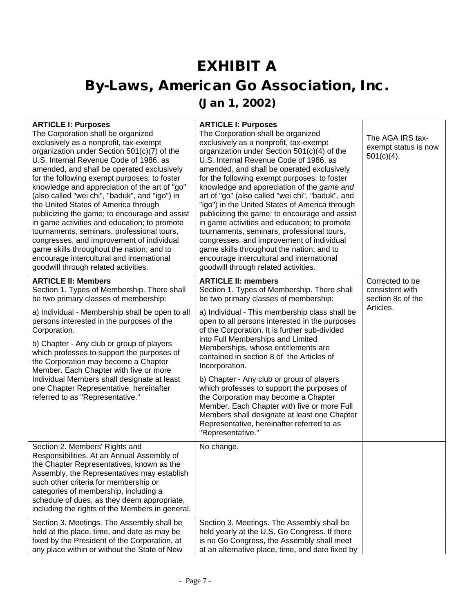## **EXHIBIT A By-Laws, American Go Association, Inc. (Jan 1, 2002)**

| <b>ARTICLE I: Purposes</b>                                                                   | <b>ARTICLE I: Purposes</b>                                                                         |                      |
|----------------------------------------------------------------------------------------------|----------------------------------------------------------------------------------------------------|----------------------|
| The Corporation shall be organized                                                           | The Corporation shall be organized                                                                 | The AGA IRS tax-     |
| exclusively as a nonprofit, tax-exempt                                                       | exclusively as a nonprofit, tax-exempt                                                             | exempt status is now |
| organization under Section 501(c)(7) of the                                                  | organization under Section 501(c)(4) of the                                                        | $501(c)(4)$ .        |
| U.S. Internal Revenue Code of 1986, as                                                       | U.S. Internal Revenue Code of 1986, as                                                             |                      |
| amended, and shall be operated exclusively                                                   | amended, and shall be operated exclusively                                                         |                      |
| for the following exempt purposes: to foster                                                 | for the following exempt purposes: to foster                                                       |                      |
| knowledge and appreciation of the art of "go"                                                | knowledge and appreciation of the game and                                                         |                      |
| (also called "wei chi", "baduk", and "igo") in<br>the United States of America through       | art of "go" (also called "wei chi", "baduk", and<br>"igo") in the United States of America through |                      |
| publicizing the game; to encourage and assist                                                | publicizing the game; to encourage and assist                                                      |                      |
| in game activities and education; to promote                                                 | in game activities and education; to promote                                                       |                      |
| tournaments, seminars, professional tours,                                                   | tournaments, seminars, professional tours,                                                         |                      |
| congresses, and improvement of individual                                                    | congresses, and improvement of individual                                                          |                      |
| game skills throughout the nation; and to                                                    | game skills throughout the nation; and to                                                          |                      |
| encourage intercultural and international                                                    | encourage intercultural and international                                                          |                      |
| goodwill through related activities.                                                         | goodwill through related activities.                                                               |                      |
| <b>ARTICLE II: Members</b>                                                                   | <b>ARTICLE II: members</b>                                                                         | Corrected to be      |
| Section 1. Types of Membership. There shall                                                  | Section 1. Types of Membership. There shall                                                        | consistent with      |
| be two primary classes of membership:                                                        | be two primary classes of membership:                                                              | section 8c of the    |
|                                                                                              |                                                                                                    | Articles.            |
| a) Individual - Membership shall be open to all                                              | a) Individual - This membership class shall be                                                     |                      |
| persons interested in the purposes of the                                                    | open to all persons interested in the purposes                                                     |                      |
| Corporation.                                                                                 | of the Corporation. It is further sub-divided                                                      |                      |
| b) Chapter - Any club or group of players                                                    | into Full Memberships and Limited<br>Memberships, whose entitlements are                           |                      |
| which professes to support the purposes of                                                   | contained in section 8 of the Articles of                                                          |                      |
| the Corporation may become a Chapter                                                         | Incorporation.                                                                                     |                      |
| Member. Each Chapter with five or more                                                       |                                                                                                    |                      |
| Individual Members shall designate at least                                                  | b) Chapter - Any club or group of players                                                          |                      |
| one Chapter Representative, hereinafter                                                      | which professes to support the purposes of                                                         |                      |
| referred to as "Representative."                                                             | the Corporation may become a Chapter                                                               |                      |
|                                                                                              | Member. Each Chapter with five or more Full                                                        |                      |
|                                                                                              | Members shall designate at least one Chapter<br>Representative, hereinafter referred to as         |                      |
|                                                                                              | "Representative."                                                                                  |                      |
|                                                                                              |                                                                                                    |                      |
| Section 2. Members' Rights and                                                               | No change.                                                                                         |                      |
| Responsibilities. At an Annual Assembly of                                                   |                                                                                                    |                      |
| the Chapter Representatives, known as the                                                    |                                                                                                    |                      |
| Assembly, the Representatives may establish                                                  |                                                                                                    |                      |
| such other criteria for membership or<br>categories of membership, including a               |                                                                                                    |                      |
| schedule of dues, as they deem appropriate,                                                  |                                                                                                    |                      |
| including the rights of the Members in general.                                              |                                                                                                    |                      |
|                                                                                              |                                                                                                    |                      |
| Section 3. Meetings. The Assembly shall be                                                   | Section 3. Meetings. The Assembly shall be                                                         |                      |
| held at the place, time, and date as may be<br>fixed by the President of the Corporation, at | held yearly at the U.S. Go Congress. If there<br>is no Go Congress, the Assembly shall meet        |                      |
| any place within or without the State of New                                                 | at an alternative place, time, and date fixed by                                                   |                      |
|                                                                                              |                                                                                                    |                      |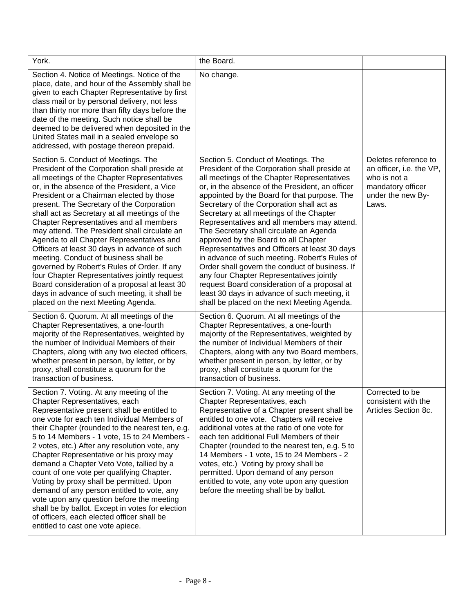| York.                                                                                                                                                                                                                                                                                                                                                                                                                                                                                                                                                                                                                                                                                                                                                                                               | the Board.                                                                                                                                                                                                                                                                                                                                                                                                                                                                                                                                                                                                                                                                                                                                                                                                       |                                                                                                                     |
|-----------------------------------------------------------------------------------------------------------------------------------------------------------------------------------------------------------------------------------------------------------------------------------------------------------------------------------------------------------------------------------------------------------------------------------------------------------------------------------------------------------------------------------------------------------------------------------------------------------------------------------------------------------------------------------------------------------------------------------------------------------------------------------------------------|------------------------------------------------------------------------------------------------------------------------------------------------------------------------------------------------------------------------------------------------------------------------------------------------------------------------------------------------------------------------------------------------------------------------------------------------------------------------------------------------------------------------------------------------------------------------------------------------------------------------------------------------------------------------------------------------------------------------------------------------------------------------------------------------------------------|---------------------------------------------------------------------------------------------------------------------|
| Section 4. Notice of Meetings. Notice of the<br>place, date, and hour of the Assembly shall be<br>given to each Chapter Representative by first<br>class mail or by personal delivery, not less<br>than thirty nor more than fifty days before the<br>date of the meeting. Such notice shall be<br>deemed to be delivered when deposited in the<br>United States mail in a sealed envelope so<br>addressed, with postage thereon prepaid.                                                                                                                                                                                                                                                                                                                                                           | No change.                                                                                                                                                                                                                                                                                                                                                                                                                                                                                                                                                                                                                                                                                                                                                                                                       |                                                                                                                     |
| Section 5. Conduct of Meetings. The<br>President of the Corporation shall preside at<br>all meetings of the Chapter Representatives<br>or, in the absence of the President, a Vice<br>President or a Chairman elected by those<br>present. The Secretary of the Corporation<br>shall act as Secretary at all meetings of the<br>Chapter Representatives and all members<br>may attend. The President shall circulate an<br>Agenda to all Chapter Representatives and<br>Officers at least 30 days in advance of such<br>meeting. Conduct of business shall be<br>governed by Robert's Rules of Order. If any<br>four Chapter Representatives jointly request<br>Board consideration of a proposal at least 30<br>days in advance of such meeting, it shall be<br>placed on the next Meeting Agenda. | Section 5. Conduct of Meetings. The<br>President of the Corporation shall preside at<br>all meetings of the Chapter Representatives<br>or, in the absence of the President, an officer<br>appointed by the Board for that purpose. The<br>Secretary of the Corporation shall act as<br>Secretary at all meetings of the Chapter<br>Representatives and all members may attend.<br>The Secretary shall circulate an Agenda<br>approved by the Board to all Chapter<br>Representatives and Officers at least 30 days<br>in advance of such meeting. Robert's Rules of<br>Order shall govern the conduct of business. If<br>any four Chapter Representatives jointly<br>request Board consideration of a proposal at<br>least 30 days in advance of such meeting, it<br>shall be placed on the next Meeting Agenda. | Deletes reference to<br>an officer, i.e. the VP,<br>who is not a<br>mandatory officer<br>under the new By-<br>Laws. |
| Section 6. Quorum. At all meetings of the<br>Chapter Representatives, a one-fourth<br>majority of the Representatives, weighted by<br>the number of Individual Members of their<br>Chapters, along with any two elected officers,<br>whether present in person, by letter, or by<br>proxy, shall constitute a quorum for the<br>transaction of business.                                                                                                                                                                                                                                                                                                                                                                                                                                            | Section 6. Quorum. At all meetings of the<br>Chapter Representatives, a one-fourth<br>majority of the Representatives, weighted by<br>the number of Individual Members of their<br>Chapters, along with any two Board members,<br>whether present in person, by letter, or by<br>proxy, shall constitute a quorum for the<br>transaction of business.                                                                                                                                                                                                                                                                                                                                                                                                                                                            |                                                                                                                     |
| Section 7. Voting. At any meeting of the<br>Chapter Representatives, each<br>Representative present shall be entitled to<br>one vote for each ten Individual Members of<br>their Chapter (rounded to the nearest ten, e.g.<br>5 to 14 Members - 1 vote, 15 to 24 Members -<br>2 votes, etc.) After any resolution vote, any<br>Chapter Representative or his proxy may<br>demand a Chapter Veto Vote, tallied by a<br>count of one vote per qualifying Chapter.<br>Voting by proxy shall be permitted. Upon<br>demand of any person entitled to vote, any<br>vote upon any question before the meeting<br>shall be by ballot. Except in votes for election<br>of officers, each elected officer shall be<br>entitled to cast one vote apiece.                                                       | Section 7. Voting. At any meeting of the<br>Chapter Representatives, each<br>Representative of a Chapter present shall be<br>entitled to one vote. Chapters will receive<br>additional votes at the ratio of one vote for<br>each ten additional Full Members of their<br>Chapter (rounded to the nearest ten, e.g. 5 to<br>14 Members - 1 vote, 15 to 24 Members - 2<br>votes, etc.) Voting by proxy shall be<br>permitted. Upon demand of any person<br>entitled to vote, any vote upon any question<br>before the meeting shall be by ballot.                                                                                                                                                                                                                                                                 | Corrected to be<br>consistent with the<br>Articles Section 8c.                                                      |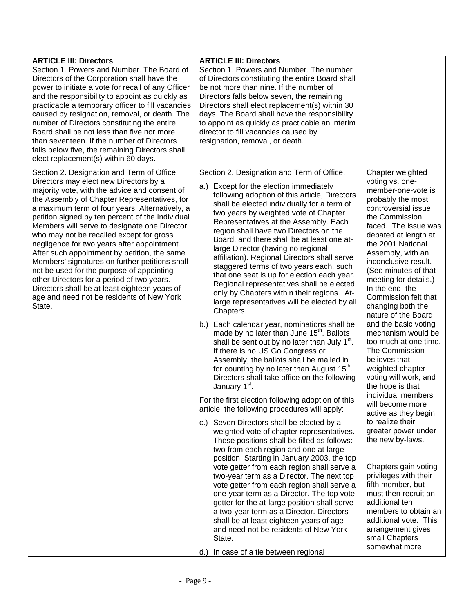| <b>ARTICLE III: Directors</b><br>Section 1. Powers and Number. The Board of<br>Directors of the Corporation shall have the<br>power to initiate a vote for recall of any Officer<br>and the responsibility to appoint as quickly as<br>practicable a temporary officer to fill vacancies<br>caused by resignation, removal, or death. The<br>number of Directors constituting the entire<br>Board shall be not less than five nor more<br>than seventeen. If the number of Directors<br>falls below five, the remaining Directors shall<br>elect replacement(s) within 60 days.                                                                                                                                                              | <b>ARTICLE III: Directors</b><br>Section 1. Powers and Number. The number<br>of Directors constituting the entire Board shall<br>be not more than nine. If the number of<br>Directors falls below seven, the remaining<br>Directors shall elect replacement(s) within 30<br>days. The Board shall have the responsibility<br>to appoint as quickly as practicable an interim<br>director to fill vacancies caused by<br>resignation, removal, or death.                                                                                                                                                                                                                                                                                                                                                                                                                                                                                                                                                                                                                                                                                                                                                                                                                                                                                                                                                                                                                                                                                                                                                                                                                                                                                                                                                                                                               |                                                                                                                                                                                                                                                                                                                                                                                                                                                                                                                                                                                                                                                                                                                                                                                                                                                                                                                        |
|----------------------------------------------------------------------------------------------------------------------------------------------------------------------------------------------------------------------------------------------------------------------------------------------------------------------------------------------------------------------------------------------------------------------------------------------------------------------------------------------------------------------------------------------------------------------------------------------------------------------------------------------------------------------------------------------------------------------------------------------|-----------------------------------------------------------------------------------------------------------------------------------------------------------------------------------------------------------------------------------------------------------------------------------------------------------------------------------------------------------------------------------------------------------------------------------------------------------------------------------------------------------------------------------------------------------------------------------------------------------------------------------------------------------------------------------------------------------------------------------------------------------------------------------------------------------------------------------------------------------------------------------------------------------------------------------------------------------------------------------------------------------------------------------------------------------------------------------------------------------------------------------------------------------------------------------------------------------------------------------------------------------------------------------------------------------------------------------------------------------------------------------------------------------------------------------------------------------------------------------------------------------------------------------------------------------------------------------------------------------------------------------------------------------------------------------------------------------------------------------------------------------------------------------------------------------------------------------------------------------------------|------------------------------------------------------------------------------------------------------------------------------------------------------------------------------------------------------------------------------------------------------------------------------------------------------------------------------------------------------------------------------------------------------------------------------------------------------------------------------------------------------------------------------------------------------------------------------------------------------------------------------------------------------------------------------------------------------------------------------------------------------------------------------------------------------------------------------------------------------------------------------------------------------------------------|
| Section 2. Designation and Term of Office.<br>Directors may elect new Directors by a<br>majority vote, with the advice and consent of<br>the Assembly of Chapter Representatives, for<br>a maximum term of four years. Alternatively, a<br>petition signed by ten percent of the Individual<br>Members will serve to designate one Director,<br>who may not be recalled except for gross<br>negligence for two years after appointment.<br>After such appointment by petition, the same<br>Members' signatures on further petitions shall<br>not be used for the purpose of appointing<br>other Directors for a period of two years.<br>Directors shall be at least eighteen years of<br>age and need not be residents of New York<br>State. | Section 2. Designation and Term of Office.<br>a.) Except for the election immediately<br>following adoption of this article, Directors<br>shall be elected individually for a term of<br>two years by weighted vote of Chapter<br>Representatives at the Assembly. Each<br>region shall have two Directors on the<br>Board, and there shall be at least one at-<br>large Director (having no regional<br>affiliation). Regional Directors shall serve<br>staggered terms of two years each, such<br>that one seat is up for election each year.<br>Regional representatives shall be elected<br>only by Chapters within their regions. At-<br>large representatives will be elected by all<br>Chapters.<br>b.) Each calendar year, nominations shall be<br>made by no later than June 15 <sup>th</sup> . Ballots<br>shall be sent out by no later than July 1 <sup>st</sup> .<br>If there is no US Go Congress or<br>Assembly, the ballots shall be mailed in<br>for counting by no later than August 15 <sup>th</sup> .<br>Directors shall take office on the following<br>January 1 <sup>st</sup> .<br>For the first election following adoption of this<br>article, the following procedures will apply:<br>c.) Seven Directors shall be elected by a<br>weighted vote of chapter representatives.<br>These positions shall be filled as follows:<br>two from each region and one at-large<br>position. Starting in January 2003, the top<br>vote getter from each region shall serve a<br>two-year term as a Director. The next top<br>vote getter from each region shall serve a<br>one-year term as a Director. The top vote<br>getter for the at-large position shall serve<br>a two-year term as a Director. Directors<br>shall be at least eighteen years of age<br>and need not be residents of New York<br>State.<br>d.) In case of a tie between regional | Chapter weighted<br>voting vs. one-<br>member-one-vote is<br>probably the most<br>controversial issue<br>the Commission<br>faced. The issue was<br>debated at length at<br>the 2001 National<br>Assembly, with an<br>inconclusive result.<br>(See minutes of that<br>meeting for details.)<br>In the end, the<br>Commission felt that<br>changing both the<br>nature of the Board<br>and the basic voting<br>mechanism would be<br>too much at one time.<br>The Commission<br>believes that<br>weighted chapter<br>voting will work, and<br>the hope is that<br>individual members<br>will become more<br>active as they begin<br>to realize their<br>greater power under<br>the new by-laws.<br>Chapters gain voting<br>privileges with their<br>fifth member, but<br>must then recruit an<br>additional ten<br>members to obtain an<br>additional vote. This<br>arrangement gives<br>small Chapters<br>somewhat more |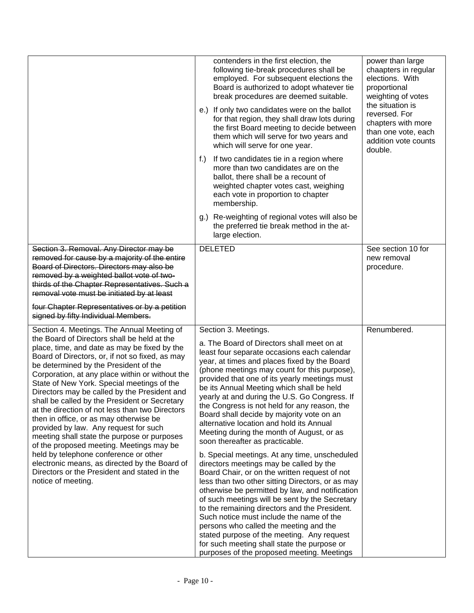|                                                                                                                                                                                                                                                                                                                                                                                                                                                                                                                                                                                                                                                                                                                                                                                                                                          | contenders in the first election, the<br>following tie-break procedures shall be<br>employed. For subsequent elections the<br>Board is authorized to adopt whatever tie<br>break procedures are deemed suitable.<br>e.) If only two candidates were on the ballot<br>for that region, they shall draw lots during<br>the first Board meeting to decide between<br>them which will serve for two years and<br>which will serve for one year.<br>If two candidates tie in a region where<br>f.)<br>more than two candidates are on the<br>ballot, there shall be a recount of<br>weighted chapter votes cast, weighing<br>each vote in proportion to chapter<br>membership.<br>g.) Re-weighting of regional votes will also be<br>the preferred tie break method in the at-<br>large election.                                                                                                                                                                                                                                                                                                                                                                                      | power than large<br>chaapters in regular<br>elections. With<br>proportional<br>weighting of votes<br>the situation is<br>reversed. For<br>chapters with more<br>than one vote, each<br>addition vote counts<br>double. |
|------------------------------------------------------------------------------------------------------------------------------------------------------------------------------------------------------------------------------------------------------------------------------------------------------------------------------------------------------------------------------------------------------------------------------------------------------------------------------------------------------------------------------------------------------------------------------------------------------------------------------------------------------------------------------------------------------------------------------------------------------------------------------------------------------------------------------------------|-----------------------------------------------------------------------------------------------------------------------------------------------------------------------------------------------------------------------------------------------------------------------------------------------------------------------------------------------------------------------------------------------------------------------------------------------------------------------------------------------------------------------------------------------------------------------------------------------------------------------------------------------------------------------------------------------------------------------------------------------------------------------------------------------------------------------------------------------------------------------------------------------------------------------------------------------------------------------------------------------------------------------------------------------------------------------------------------------------------------------------------------------------------------------------------|------------------------------------------------------------------------------------------------------------------------------------------------------------------------------------------------------------------------|
| Section 3. Removal. Any Director may be<br>removed for cause by a majority of the entire<br>Board of Directors. Directors may also be<br>removed by a weighted ballot vote of two-<br>thirds of the Chapter Representatives. Such a<br>removal vote must be initiated by at least<br>four Chapter Representatives or by a petition<br>signed by fifty Individual Members.                                                                                                                                                                                                                                                                                                                                                                                                                                                                | <b>DELETED</b>                                                                                                                                                                                                                                                                                                                                                                                                                                                                                                                                                                                                                                                                                                                                                                                                                                                                                                                                                                                                                                                                                                                                                                    | See section 10 for<br>new removal<br>procedure.                                                                                                                                                                        |
| Section 4. Meetings. The Annual Meeting of<br>the Board of Directors shall be held at the<br>place, time, and date as may be fixed by the<br>Board of Directors, or, if not so fixed, as may<br>be determined by the President of the<br>Corporation, at any place within or without the<br>State of New York. Special meetings of the<br>Directors may be called by the President and<br>shall be called by the President or Secretary<br>at the direction of not less than two Directors<br>then in office, or as may otherwise be<br>provided by law. Any request for such<br>meeting shall state the purpose or purposes<br>of the proposed meeting. Meetings may be<br>held by telephone conference or other<br>electronic means, as directed by the Board of<br>Directors or the President and stated in the<br>notice of meeting. | Section 3. Meetings.<br>a. The Board of Directors shall meet on at<br>least four separate occasions each calendar<br>year, at times and places fixed by the Board<br>(phone meetings may count for this purpose),<br>provided that one of its yearly meetings must<br>be its Annual Meeting which shall be held<br>yearly at and during the U.S. Go Congress. If<br>the Congress is not held for any reason, the<br>Board shall decide by majority vote on an<br>alternative location and hold its Annual<br>Meeting during the month of August, or as<br>soon thereafter as practicable.<br>b. Special meetings. At any time, unscheduled<br>directors meetings may be called by the<br>Board Chair, or on the written request of not<br>less than two other sitting Directors, or as may<br>otherwise be permitted by law, and notification<br>of such meetings will be sent by the Secretary<br>to the remaining directors and the President.<br>Such notice must include the name of the<br>persons who called the meeting and the<br>stated purpose of the meeting. Any request<br>for such meeting shall state the purpose or<br>purposes of the proposed meeting. Meetings | Renumbered.                                                                                                                                                                                                            |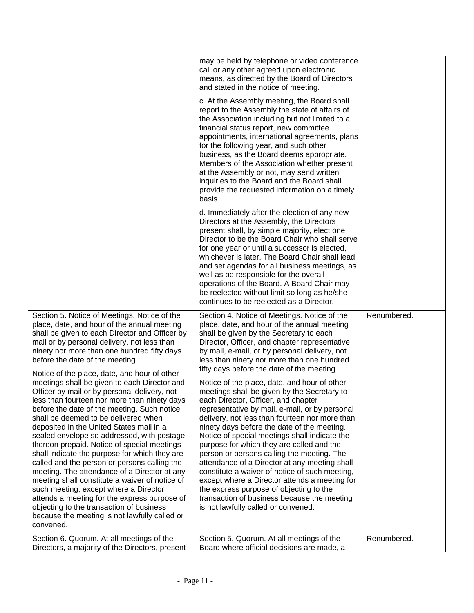|                                                                                                                                                                                                                                                                                                                                                                                                                                                                                                                                                                                                                                                                                                                                                                                                                                                                                                                                                                                                                                                                                                                      | may be held by telephone or video conference<br>call or any other agreed upon electronic<br>means, as directed by the Board of Directors<br>and stated in the notice of meeting.<br>c. At the Assembly meeting, the Board shall<br>report to the Assembly the state of affairs of<br>the Association including but not limited to a<br>financial status report, new committee<br>appointments, international agreements, plans<br>for the following year, and such other<br>business, as the Board deems appropriate.<br>Members of the Association whether present<br>at the Assembly or not, may send written<br>inquiries to the Board and the Board shall<br>provide the requested information on a timely<br>basis.<br>d. Immediately after the election of any new<br>Directors at the Assembly, the Directors<br>present shall, by simple majority, elect one<br>Director to be the Board Chair who shall serve<br>for one year or until a successor is elected,<br>whichever is later. The Board Chair shall lead<br>and set agendas for all business meetings, as<br>well as be responsible for the overall<br>operations of the Board. A Board Chair may<br>be reelected without limit so long as he/she<br>continues to be reelected as a Director. |             |
|----------------------------------------------------------------------------------------------------------------------------------------------------------------------------------------------------------------------------------------------------------------------------------------------------------------------------------------------------------------------------------------------------------------------------------------------------------------------------------------------------------------------------------------------------------------------------------------------------------------------------------------------------------------------------------------------------------------------------------------------------------------------------------------------------------------------------------------------------------------------------------------------------------------------------------------------------------------------------------------------------------------------------------------------------------------------------------------------------------------------|----------------------------------------------------------------------------------------------------------------------------------------------------------------------------------------------------------------------------------------------------------------------------------------------------------------------------------------------------------------------------------------------------------------------------------------------------------------------------------------------------------------------------------------------------------------------------------------------------------------------------------------------------------------------------------------------------------------------------------------------------------------------------------------------------------------------------------------------------------------------------------------------------------------------------------------------------------------------------------------------------------------------------------------------------------------------------------------------------------------------------------------------------------------------------------------------------------------------------------------------------------------|-------------|
| Section 5. Notice of Meetings. Notice of the<br>place, date, and hour of the annual meeting<br>shall be given to each Director and Officer by<br>mail or by personal delivery, not less than<br>ninety nor more than one hundred fifty days<br>before the date of the meeting.<br>Notice of the place, date, and hour of other<br>meetings shall be given to each Director and<br>Officer by mail or by personal delivery, not<br>less than fourteen nor more than ninety days<br>before the date of the meeting. Such notice<br>shall be deemed to be delivered when<br>deposited in the United States mail in a<br>sealed envelope so addressed, with postage<br>thereon prepaid. Notice of special meetings<br>shall indicate the purpose for which they are<br>called and the person or persons calling the<br>meeting. The attendance of a Director at any<br>meeting shall constitute a waiver of notice of<br>such meeting, except where a Director<br>attends a meeting for the express purpose of<br>objecting to the transaction of business<br>because the meeting is not lawfully called or<br>convened. | Section 4. Notice of Meetings. Notice of the<br>place, date, and hour of the annual meeting<br>shall be given by the Secretary to each<br>Director, Officer, and chapter representative<br>by mail, e-mail, or by personal delivery, not<br>less than ninety nor more than one hundred<br>fifty days before the date of the meeting.<br>Notice of the place, date, and hour of other<br>meetings shall be given by the Secretary to<br>each Director, Officer, and chapter<br>representative by mail, e-mail, or by personal<br>delivery, not less than fourteen nor more than<br>ninety days before the date of the meeting.<br>Notice of special meetings shall indicate the<br>purpose for which they are called and the<br>person or persons calling the meeting. The<br>attendance of a Director at any meeting shall<br>constitute a waiver of notice of such meeting,<br>except where a Director attends a meeting for<br>the express purpose of objecting to the<br>transaction of business because the meeting<br>is not lawfully called or convened.                                                                                                                                                                                                 | Renumbered. |
| Section 6. Quorum. At all meetings of the<br>Directors, a majority of the Directors, present                                                                                                                                                                                                                                                                                                                                                                                                                                                                                                                                                                                                                                                                                                                                                                                                                                                                                                                                                                                                                         | Section 5. Quorum. At all meetings of the<br>Board where official decisions are made, a                                                                                                                                                                                                                                                                                                                                                                                                                                                                                                                                                                                                                                                                                                                                                                                                                                                                                                                                                                                                                                                                                                                                                                        | Renumbered. |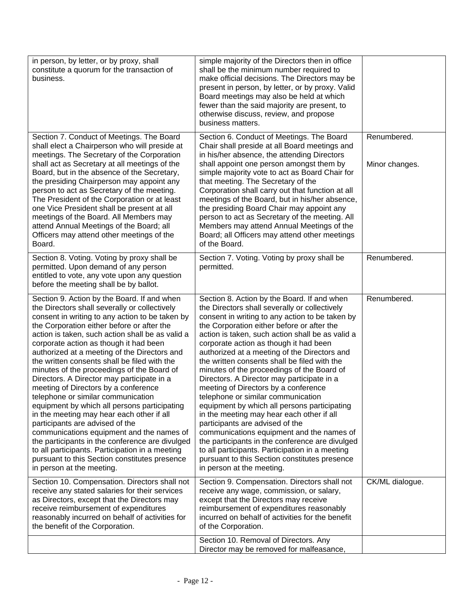| in person, by letter, or by proxy, shall<br>constitute a quorum for the transaction of<br>business.                                                                                                                                                                                                                                                                                                                                                                                                                                                                                                                                                                                                                                                                                                                                                                                                                                    | simple majority of the Directors then in office<br>shall be the minimum number required to<br>make official decisions. The Directors may be<br>present in person, by letter, or by proxy. Valid<br>Board meetings may also be held at which<br>fewer than the said majority are present, to<br>otherwise discuss, review, and propose<br>business matters.                                                                                                                                                                                                                                                                                                                                                                                                                                                                                                                                                                             |                               |
|----------------------------------------------------------------------------------------------------------------------------------------------------------------------------------------------------------------------------------------------------------------------------------------------------------------------------------------------------------------------------------------------------------------------------------------------------------------------------------------------------------------------------------------------------------------------------------------------------------------------------------------------------------------------------------------------------------------------------------------------------------------------------------------------------------------------------------------------------------------------------------------------------------------------------------------|----------------------------------------------------------------------------------------------------------------------------------------------------------------------------------------------------------------------------------------------------------------------------------------------------------------------------------------------------------------------------------------------------------------------------------------------------------------------------------------------------------------------------------------------------------------------------------------------------------------------------------------------------------------------------------------------------------------------------------------------------------------------------------------------------------------------------------------------------------------------------------------------------------------------------------------|-------------------------------|
| Section 7. Conduct of Meetings. The Board<br>shall elect a Chairperson who will preside at<br>meetings. The Secretary of the Corporation<br>shall act as Secretary at all meetings of the<br>Board, but in the absence of the Secretary,<br>the presiding Chairperson may appoint any<br>person to act as Secretary of the meeting.<br>The President of the Corporation or at least<br>one Vice President shall be present at all<br>meetings of the Board. All Members may<br>attend Annual Meetings of the Board; all<br>Officers may attend other meetings of the<br>Board.                                                                                                                                                                                                                                                                                                                                                         | Section 6. Conduct of Meetings. The Board<br>Chair shall preside at all Board meetings and<br>in his/her absence, the attending Directors<br>shall appoint one person amongst them by<br>simple majority vote to act as Board Chair for<br>that meeting. The Secretary of the<br>Corporation shall carry out that function at all<br>meetings of the Board, but in his/her absence,<br>the presiding Board Chair may appoint any<br>person to act as Secretary of the meeting. All<br>Members may attend Annual Meetings of the<br>Board; all Officers may attend other meetings<br>of the Board.                                                                                                                                                                                                                                                                                                                                      | Renumbered.<br>Minor changes. |
| Section 8. Voting. Voting by proxy shall be<br>permitted. Upon demand of any person<br>entitled to vote, any vote upon any question<br>before the meeting shall be by ballot.                                                                                                                                                                                                                                                                                                                                                                                                                                                                                                                                                                                                                                                                                                                                                          | Section 7. Voting. Voting by proxy shall be<br>permitted.                                                                                                                                                                                                                                                                                                                                                                                                                                                                                                                                                                                                                                                                                                                                                                                                                                                                              | Renumbered.                   |
| Section 9. Action by the Board. If and when<br>the Directors shall severally or collectively<br>consent in writing to any action to be taken by<br>the Corporation either before or after the<br>action is taken, such action shall be as valid a<br>corporate action as though it had been<br>authorized at a meeting of the Directors and<br>the written consents shall be filed with the<br>minutes of the proceedings of the Board of<br>Directors. A Director may participate in a<br>meeting of Directors by a conference<br>telephone or similar communication<br>equipment by which all persons participating<br>in the meeting may hear each other if all<br>participants are advised of the<br>communications equipment and the names of<br>the participants in the conference are divulged<br>to all participants. Participation in a meeting<br>pursuant to this Section constitutes presence<br>in person at the meeting. | Section 8. Action by the Board. If and when<br>the Directors shall severally or collectively<br>consent in writing to any action to be taken by<br>the Corporation either before or after the<br>action is taken, such action shall be as valid a<br>corporate action as though it had been<br>authorized at a meeting of the Directors and<br>the written consents shall be filed with the<br>minutes of the proceedings of the Board of<br>Directors. A Director may participate in a<br>meeting of Directors by a conference<br>telephone or similar communication<br>equipment by which all persons participating<br>in the meeting may hear each other if all<br>participants are advised of the<br>communications equipment and the names of<br>the participants in the conference are divulged<br>to all participants. Participation in a meeting<br>pursuant to this Section constitutes presence<br>in person at the meeting. | Renumbered.                   |
| Section 10. Compensation. Directors shall not<br>receive any stated salaries for their services<br>as Directors, except that the Directors may<br>receive reimbursement of expenditures<br>reasonably incurred on behalf of activities for<br>the benefit of the Corporation.                                                                                                                                                                                                                                                                                                                                                                                                                                                                                                                                                                                                                                                          | Section 9. Compensation. Directors shall not<br>receive any wage, commission, or salary,<br>except that the Directors may receive<br>reimbursement of expenditures reasonably<br>incurred on behalf of activities for the benefit<br>of the Corporation.                                                                                                                                                                                                                                                                                                                                                                                                                                                                                                                                                                                                                                                                               | CK/ML dialogue.               |
|                                                                                                                                                                                                                                                                                                                                                                                                                                                                                                                                                                                                                                                                                                                                                                                                                                                                                                                                        | Section 10. Removal of Directors. Any<br>Director may be removed for malfeasance,                                                                                                                                                                                                                                                                                                                                                                                                                                                                                                                                                                                                                                                                                                                                                                                                                                                      |                               |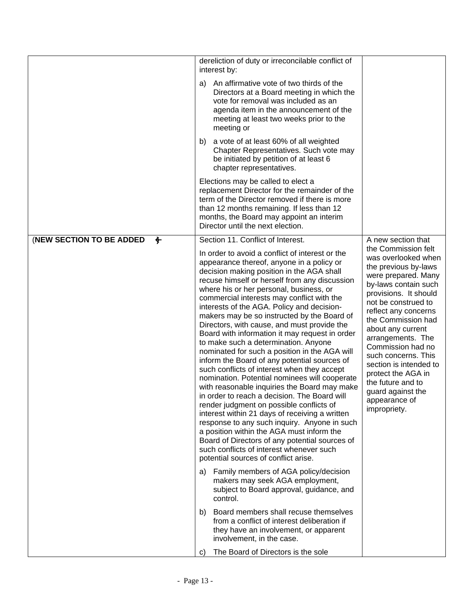|                                         | dereliction of duty or irreconcilable conflict of<br>interest by:<br>An affirmative vote of two thirds of the<br>a)<br>Directors at a Board meeting in which the<br>vote for removal was included as an<br>agenda item in the announcement of the<br>meeting at least two weeks prior to the<br>meeting or<br>a vote of at least 60% of all weighted<br>b)<br>Chapter Representatives. Such vote may<br>be initiated by petition of at least 6<br>chapter representatives.<br>Elections may be called to elect a<br>replacement Director for the remainder of the<br>term of the Director removed if there is more<br>than 12 months remaining. If less than 12<br>months, the Board may appoint an interim<br>Director until the next election.                                                                                                                                                                                                                                                                                                                                                                                                                                                                                                                                                                                                                                                                                                                                                                                                           |                                                                                                                                                                                                                                                                                                                                                                                                                                                        |
|-----------------------------------------|------------------------------------------------------------------------------------------------------------------------------------------------------------------------------------------------------------------------------------------------------------------------------------------------------------------------------------------------------------------------------------------------------------------------------------------------------------------------------------------------------------------------------------------------------------------------------------------------------------------------------------------------------------------------------------------------------------------------------------------------------------------------------------------------------------------------------------------------------------------------------------------------------------------------------------------------------------------------------------------------------------------------------------------------------------------------------------------------------------------------------------------------------------------------------------------------------------------------------------------------------------------------------------------------------------------------------------------------------------------------------------------------------------------------------------------------------------------------------------------------------------------------------------------------------------|--------------------------------------------------------------------------------------------------------------------------------------------------------------------------------------------------------------------------------------------------------------------------------------------------------------------------------------------------------------------------------------------------------------------------------------------------------|
| (NEW SECTION TO BE ADDED<br>$\bigoplus$ | Section 11. Conflict of Interest.<br>In order to avoid a conflict of interest or the<br>appearance thereof, anyone in a policy or<br>decision making position in the AGA shall<br>recuse himself or herself from any discussion<br>where his or her personal, business, or<br>commercial interests may conflict with the<br>interests of the AGA. Policy and decision-<br>makers may be so instructed by the Board of<br>Directors, with cause, and must provide the<br>Board with information it may request in order<br>to make such a determination. Anyone<br>nominated for such a position in the AGA will<br>inform the Board of any potential sources of<br>such conflicts of interest when they accept<br>nomination. Potential nominees will cooperate<br>with reasonable inquiries the Board may make<br>in order to reach a decision. The Board will<br>render judgment on possible conflicts of<br>interest within 21 days of receiving a written<br>response to any such inquiry. Anyone in such<br>a position within the AGA must inform the<br>Board of Directors of any potential sources of<br>such conflicts of interest whenever such<br>potential sources of conflict arise.<br>Family members of AGA policy/decision<br>a)<br>makers may seek AGA employment,<br>subject to Board approval, guidance, and<br>control.<br>Board members shall recuse themselves<br>b)<br>from a conflict of interest deliberation if<br>they have an involvement, or apparent<br>involvement, in the case.<br>The Board of Directors is the sole<br>C) | A new section that<br>the Commission felt<br>was overlooked when<br>the previous by-laws<br>were prepared. Many<br>by-laws contain such<br>provisions. It should<br>not be construed to<br>reflect any concerns<br>the Commission had<br>about any current<br>arrangements. The<br>Commission had no<br>such concerns. This<br>section is intended to<br>protect the AGA in<br>the future and to<br>guard against the<br>appearance of<br>impropriety. |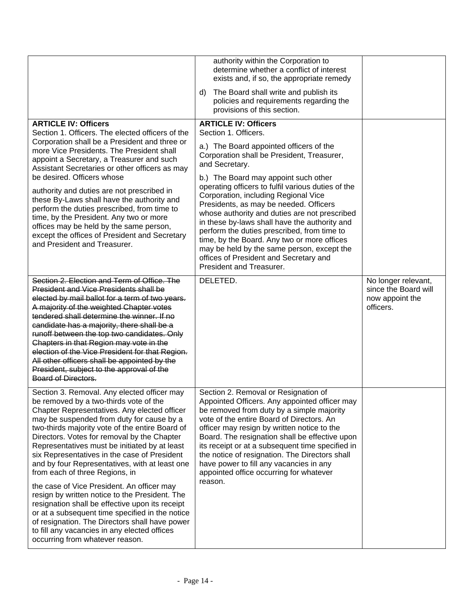|                                                                                                                                                                                                                                                                                                                                                                                                                                                                                                                                                                                                                              | authority within the Corporation to<br>determine whether a conflict of interest<br>exists and, if so, the appropriate remedy                                                                                                                                                                                                                                                                                                                                                                                                                                                                                                           |                                             |
|------------------------------------------------------------------------------------------------------------------------------------------------------------------------------------------------------------------------------------------------------------------------------------------------------------------------------------------------------------------------------------------------------------------------------------------------------------------------------------------------------------------------------------------------------------------------------------------------------------------------------|----------------------------------------------------------------------------------------------------------------------------------------------------------------------------------------------------------------------------------------------------------------------------------------------------------------------------------------------------------------------------------------------------------------------------------------------------------------------------------------------------------------------------------------------------------------------------------------------------------------------------------------|---------------------------------------------|
|                                                                                                                                                                                                                                                                                                                                                                                                                                                                                                                                                                                                                              | The Board shall write and publish its<br>d)<br>policies and requirements regarding the<br>provisions of this section.                                                                                                                                                                                                                                                                                                                                                                                                                                                                                                                  |                                             |
| <b>ARTICLE IV: Officers</b><br>Section 1. Officers. The elected officers of the<br>Corporation shall be a President and three or<br>more Vice Presidents. The President shall<br>appoint a Secretary, a Treasurer and such<br>Assistant Secretaries or other officers as may<br>be desired. Officers whose<br>authority and duties are not prescribed in<br>these By-Laws shall have the authority and<br>perform the duties prescribed, from time to<br>time, by the President. Any two or more<br>offices may be held by the same person,<br>except the offices of President and Secretary<br>and President and Treasurer. | <b>ARTICLE IV: Officers</b><br>Section 1. Officers.<br>a.) The Board appointed officers of the<br>Corporation shall be President, Treasurer,<br>and Secretary.<br>b.) The Board may appoint such other<br>operating officers to fulfil various duties of the<br>Corporation, including Regional Vice<br>Presidents, as may be needed. Officers<br>whose authority and duties are not prescribed<br>in these by-laws shall have the authority and<br>perform the duties prescribed, from time to<br>time, by the Board. Any two or more offices<br>may be held by the same person, except the<br>offices of President and Secretary and |                                             |
| Section 2. Election and Term of Office. The<br>President and Vice Presidents shall be                                                                                                                                                                                                                                                                                                                                                                                                                                                                                                                                        | President and Treasurer.<br>DELETED.                                                                                                                                                                                                                                                                                                                                                                                                                                                                                                                                                                                                   | No longer relevant,<br>since the Board will |
| elected by mail ballot for a term of two years.<br>A majority of the weighted Chapter votes<br>tendered shall determine the winner. If no<br>candidate has a majority, there shall be a<br>runoff between the top two candidates. Only<br>Chapters in that Region may vote in the<br>election of the Vice President for that Region.<br>All other officers shall be appointed by the<br>President, subject to the approval of the<br><b>Board of Directors.</b>                                                                                                                                                              |                                                                                                                                                                                                                                                                                                                                                                                                                                                                                                                                                                                                                                        | now appoint the<br>officers.                |
| Section 3. Removal. Any elected officer may<br>be removed by a two-thirds vote of the<br>Chapter Representatives. Any elected officer<br>may be suspended from duty for cause by a<br>two-thirds majority vote of the entire Board of<br>Directors. Votes for removal by the Chapter<br>Representatives must be initiated by at least<br>six Representatives in the case of President<br>and by four Representatives, with at least one<br>from each of three Regions, in                                                                                                                                                    | Section 2. Removal or Resignation of<br>Appointed Officers. Any appointed officer may<br>be removed from duty by a simple majority<br>vote of the entire Board of Directors. An<br>officer may resign by written notice to the<br>Board. The resignation shall be effective upon<br>its receipt or at a subsequent time specified in<br>the notice of resignation. The Directors shall<br>have power to fill any vacancies in any<br>appointed office occurring for whatever                                                                                                                                                           |                                             |
| the case of Vice President. An officer may<br>resign by written notice to the President. The<br>resignation shall be effective upon its receipt<br>or at a subsequent time specified in the notice<br>of resignation. The Directors shall have power<br>to fill any vacancies in any elected offices<br>occurring from whatever reason.                                                                                                                                                                                                                                                                                      | reason.                                                                                                                                                                                                                                                                                                                                                                                                                                                                                                                                                                                                                                |                                             |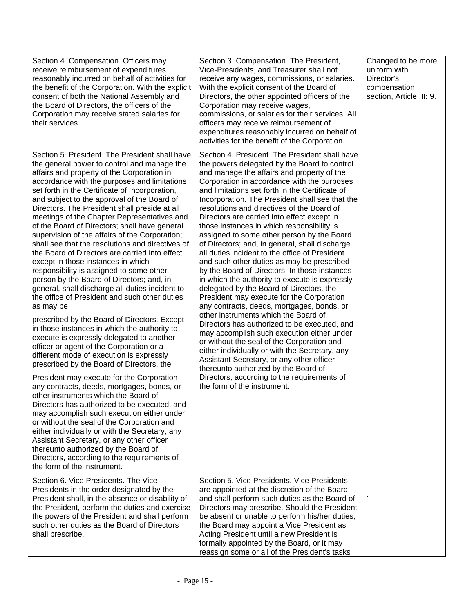| Section 4. Compensation. Officers may<br>receive reimbursement of expenditures<br>reasonably incurred on behalf of activities for<br>the benefit of the Corporation. With the explicit<br>consent of both the National Assembly and<br>the Board of Directors, the officers of the<br>Corporation may receive stated salaries for<br>their services.                                                                                                                                                                                                                                                                                                                                                                                                                                                                                                                                                                                                                                                                                                                                                                                                                                                                                                                                                                                                                                                                                                                                                                                                                                                                                        | Section 3. Compensation. The President,<br>Vice-Presidents, and Treasurer shall not<br>receive any wages, commissions, or salaries.<br>With the explicit consent of the Board of<br>Directors, the other appointed officers of the<br>Corporation may receive wages,<br>commissions, or salaries for their services. All<br>officers may receive reimbursement of<br>expenditures reasonably incurred on behalf of<br>activities for the benefit of the Corporation.                                                                                                                                                                                                                                                                                                                                                                                                                                                                                                                                                                                                                                                                                                                                                                                                                            | Changed to be more<br>uniform with<br>Director's<br>compensation<br>section, Article III: 9. |
|---------------------------------------------------------------------------------------------------------------------------------------------------------------------------------------------------------------------------------------------------------------------------------------------------------------------------------------------------------------------------------------------------------------------------------------------------------------------------------------------------------------------------------------------------------------------------------------------------------------------------------------------------------------------------------------------------------------------------------------------------------------------------------------------------------------------------------------------------------------------------------------------------------------------------------------------------------------------------------------------------------------------------------------------------------------------------------------------------------------------------------------------------------------------------------------------------------------------------------------------------------------------------------------------------------------------------------------------------------------------------------------------------------------------------------------------------------------------------------------------------------------------------------------------------------------------------------------------------------------------------------------------|-------------------------------------------------------------------------------------------------------------------------------------------------------------------------------------------------------------------------------------------------------------------------------------------------------------------------------------------------------------------------------------------------------------------------------------------------------------------------------------------------------------------------------------------------------------------------------------------------------------------------------------------------------------------------------------------------------------------------------------------------------------------------------------------------------------------------------------------------------------------------------------------------------------------------------------------------------------------------------------------------------------------------------------------------------------------------------------------------------------------------------------------------------------------------------------------------------------------------------------------------------------------------------------------------|----------------------------------------------------------------------------------------------|
| Section 5. President. The President shall have<br>the general power to control and manage the<br>affairs and property of the Corporation in<br>accordance with the purposes and limitations<br>set forth in the Certificate of Incorporation,<br>and subject to the approval of the Board of<br>Directors. The President shall preside at all<br>meetings of the Chapter Representatives and<br>of the Board of Directors; shall have general<br>supervision of the affairs of the Corporation;<br>shall see that the resolutions and directives of<br>the Board of Directors are carried into effect<br>except in those instances in which<br>responsibility is assigned to some other<br>person by the Board of Directors; and, in<br>general, shall discharge all duties incident to<br>the office of President and such other duties<br>as may be<br>prescribed by the Board of Directors. Except<br>in those instances in which the authority to<br>execute is expressly delegated to another<br>officer or agent of the Corporation or a<br>different mode of execution is expressly<br>prescribed by the Board of Directors, the<br>President may execute for the Corporation<br>any contracts, deeds, mortgages, bonds, or<br>other instruments which the Board of<br>Directors has authorized to be executed, and<br>may accomplish such execution either under<br>or without the seal of the Corporation and<br>either individually or with the Secretary, any<br>Assistant Secretary, or any other officer<br>thereunto authorized by the Board of<br>Directors, according to the requirements of<br>the form of the instrument. | Section 4. President. The President shall have<br>the powers delegated by the Board to control<br>and manage the affairs and property of the<br>Corporation in accordance with the purposes<br>and limitations set forth in the Certificate of<br>Incorporation. The President shall see that the<br>resolutions and directives of the Board of<br>Directors are carried into effect except in<br>those instances in which responsibility is<br>assigned to some other person by the Board<br>of Directors; and, in general, shall discharge<br>all duties incident to the office of President<br>and such other duties as may be prescribed<br>by the Board of Directors. In those instances<br>in which the authority to execute is expressly<br>delegated by the Board of Directors, the<br>President may execute for the Corporation<br>any contracts, deeds, mortgages, bonds, or<br>other instruments which the Board of<br>Directors has authorized to be executed, and<br>may accomplish such execution either under<br>or without the seal of the Corporation and<br>either individually or with the Secretary, any<br>Assistant Secretary, or any other officer<br>thereunto authorized by the Board of<br>Directors, according to the requirements of<br>the form of the instrument. |                                                                                              |
| Section 6. Vice Presidents. The Vice<br>Presidents in the order designated by the<br>President shall, in the absence or disability of<br>the President, perform the duties and exercise<br>the powers of the President and shall perform<br>such other duties as the Board of Directors<br>shall prescribe.                                                                                                                                                                                                                                                                                                                                                                                                                                                                                                                                                                                                                                                                                                                                                                                                                                                                                                                                                                                                                                                                                                                                                                                                                                                                                                                                 | Section 5. Vice Presidents. Vice Presidents<br>are appointed at the discretion of the Board<br>and shall perform such duties as the Board of<br>Directors may prescribe. Should the President<br>be absent or unable to perform his/her duties,<br>the Board may appoint a Vice President as<br>Acting President until a new President is<br>formally appointed by the Board, or it may<br>reassign some or all of the President's tasks                                                                                                                                                                                                                                                                                                                                                                                                                                                                                                                                                                                                                                                                                                                                                                                                                                                        |                                                                                              |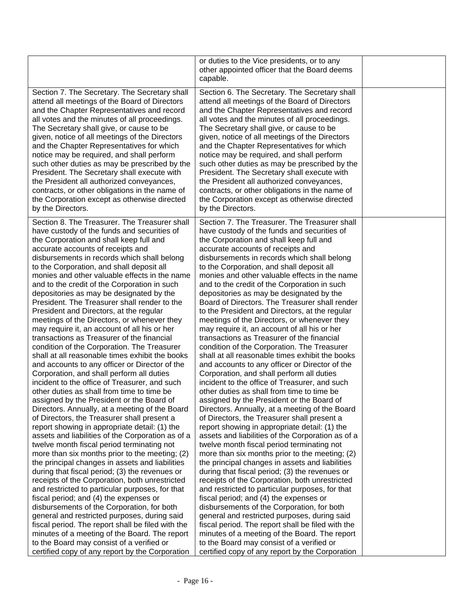|                                                                                                                                                                                                                                                                                                                                                                                                                                                                                                                                                                                                                                                                                                                                                                                                                                                                                                                                                                                                                                                                                                                                                                                                                                                                                                                                                                                                                                                                                                                                                                                                                                                                                                                                                                                                                                                                           | or duties to the Vice presidents, or to any<br>other appointed officer that the Board deems<br>capable.                                                                                                                                                                                                                                                                                                                                                                                                                                                                                                                                                                                                                                                                                                                                                                                                                                                                                                                                                                                                                                                                                                                                                                                                                                                                                                                                                                                                                                                                                                                                                                                                                                                                                                                                                                            |  |
|---------------------------------------------------------------------------------------------------------------------------------------------------------------------------------------------------------------------------------------------------------------------------------------------------------------------------------------------------------------------------------------------------------------------------------------------------------------------------------------------------------------------------------------------------------------------------------------------------------------------------------------------------------------------------------------------------------------------------------------------------------------------------------------------------------------------------------------------------------------------------------------------------------------------------------------------------------------------------------------------------------------------------------------------------------------------------------------------------------------------------------------------------------------------------------------------------------------------------------------------------------------------------------------------------------------------------------------------------------------------------------------------------------------------------------------------------------------------------------------------------------------------------------------------------------------------------------------------------------------------------------------------------------------------------------------------------------------------------------------------------------------------------------------------------------------------------------------------------------------------------|------------------------------------------------------------------------------------------------------------------------------------------------------------------------------------------------------------------------------------------------------------------------------------------------------------------------------------------------------------------------------------------------------------------------------------------------------------------------------------------------------------------------------------------------------------------------------------------------------------------------------------------------------------------------------------------------------------------------------------------------------------------------------------------------------------------------------------------------------------------------------------------------------------------------------------------------------------------------------------------------------------------------------------------------------------------------------------------------------------------------------------------------------------------------------------------------------------------------------------------------------------------------------------------------------------------------------------------------------------------------------------------------------------------------------------------------------------------------------------------------------------------------------------------------------------------------------------------------------------------------------------------------------------------------------------------------------------------------------------------------------------------------------------------------------------------------------------------------------------------------------------|--|
| Section 7. The Secretary. The Secretary shall<br>attend all meetings of the Board of Directors<br>and the Chapter Representatives and record<br>all votes and the minutes of all proceedings.<br>The Secretary shall give, or cause to be<br>given, notice of all meetings of the Directors<br>and the Chapter Representatives for which<br>notice may be required, and shall perform<br>such other duties as may be prescribed by the<br>President. The Secretary shall execute with<br>the President all authorized conveyances,<br>contracts, or other obligations in the name of<br>the Corporation except as otherwise directed<br>by the Directors.                                                                                                                                                                                                                                                                                                                                                                                                                                                                                                                                                                                                                                                                                                                                                                                                                                                                                                                                                                                                                                                                                                                                                                                                                 | Section 6. The Secretary. The Secretary shall<br>attend all meetings of the Board of Directors<br>and the Chapter Representatives and record<br>all votes and the minutes of all proceedings.<br>The Secretary shall give, or cause to be<br>given, notice of all meetings of the Directors<br>and the Chapter Representatives for which<br>notice may be required, and shall perform<br>such other duties as may be prescribed by the<br>President. The Secretary shall execute with<br>the President all authorized conveyances,<br>contracts, or other obligations in the name of<br>the Corporation except as otherwise directed<br>by the Directors.                                                                                                                                                                                                                                                                                                                                                                                                                                                                                                                                                                                                                                                                                                                                                                                                                                                                                                                                                                                                                                                                                                                                                                                                                          |  |
| Section 8. The Treasurer. The Treasurer shall<br>have custody of the funds and securities of<br>the Corporation and shall keep full and<br>accurate accounts of receipts and<br>disbursements in records which shall belong<br>to the Corporation, and shall deposit all<br>monies and other valuable effects in the name<br>and to the credit of the Corporation in such<br>depositories as may be designated by the<br>President. The Treasurer shall render to the<br>President and Directors, at the regular<br>meetings of the Directors, or whenever they<br>may require it, an account of all his or her<br>transactions as Treasurer of the financial<br>condition of the Corporation. The Treasurer<br>shall at all reasonable times exhibit the books<br>and accounts to any officer or Director of the<br>Corporation, and shall perform all duties<br>incident to the office of Treasurer, and such<br>other duties as shall from time to time be<br>assigned by the President or the Board of<br>Directors. Annually, at a meeting of the Board<br>of Directors, the Treasurer shall present a<br>report showing in appropriate detail: (1) the<br>assets and liabilities of the Corporation as of a<br>twelve month fiscal period terminating not<br>more than six months prior to the meeting; (2)<br>the principal changes in assets and liabilities<br>during that fiscal period; (3) the revenues or<br>receipts of the Corporation, both unrestricted<br>and restricted to particular purposes, for that<br>fiscal period; and (4) the expenses or<br>disbursements of the Corporation, for both<br>general and restricted purposes, during said<br>fiscal period. The report shall be filed with the<br>minutes of a meeting of the Board. The report<br>to the Board may consist of a verified or<br>certified copy of any report by the Corporation | Section 7. The Treasurer. The Treasurer shall<br>have custody of the funds and securities of<br>the Corporation and shall keep full and<br>accurate accounts of receipts and<br>disbursements in records which shall belong<br>to the Corporation, and shall deposit all<br>monies and other valuable effects in the name<br>and to the credit of the Corporation in such<br>depositories as may be designated by the<br>Board of Directors. The Treasurer shall render<br>to the President and Directors, at the regular<br>meetings of the Directors, or whenever they<br>may require it, an account of all his or her<br>transactions as Treasurer of the financial<br>condition of the Corporation. The Treasurer<br>shall at all reasonable times exhibit the books<br>and accounts to any officer or Director of the<br>Corporation, and shall perform all duties<br>incident to the office of Treasurer, and such<br>other duties as shall from time to time be<br>assigned by the President or the Board of<br>Directors. Annually, at a meeting of the Board<br>of Directors, the Treasurer shall present a<br>report showing in appropriate detail: (1) the<br>assets and liabilities of the Corporation as of a<br>twelve month fiscal period terminating not<br>more than six months prior to the meeting; (2)<br>the principal changes in assets and liabilities<br>during that fiscal period; (3) the revenues or<br>receipts of the Corporation, both unrestricted<br>and restricted to particular purposes, for that<br>fiscal period; and (4) the expenses or<br>disbursements of the Corporation, for both<br>general and restricted purposes, during said<br>fiscal period. The report shall be filed with the<br>minutes of a meeting of the Board. The report<br>to the Board may consist of a verified or<br>certified copy of any report by the Corporation |  |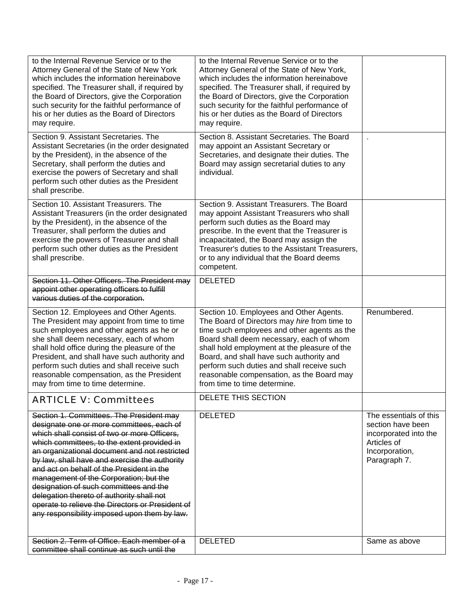| to the Internal Revenue Service or to the<br>Attorney General of the State of New York<br>which includes the information hereinabove<br>specified. The Treasurer shall, if required by<br>the Board of Directors, give the Corporation<br>such security for the faithful performance of<br>his or her duties as the Board of Directors<br>may require.                                                                                                                                                                                                                   | to the Internal Revenue Service or to the<br>Attorney General of the State of New York,<br>which includes the information hereinabove<br>specified. The Treasurer shall, if required by<br>the Board of Directors, give the Corporation<br>such security for the faithful performance of<br>his or her duties as the Board of Directors<br>may require.                                                   |                                                                                                                       |
|--------------------------------------------------------------------------------------------------------------------------------------------------------------------------------------------------------------------------------------------------------------------------------------------------------------------------------------------------------------------------------------------------------------------------------------------------------------------------------------------------------------------------------------------------------------------------|-----------------------------------------------------------------------------------------------------------------------------------------------------------------------------------------------------------------------------------------------------------------------------------------------------------------------------------------------------------------------------------------------------------|-----------------------------------------------------------------------------------------------------------------------|
| Section 9. Assistant Secretaries. The<br>Assistant Secretaries (in the order designated<br>by the President), in the absence of the<br>Secretary, shall perform the duties and<br>exercise the powers of Secretary and shall<br>perform such other duties as the President<br>shall prescribe.                                                                                                                                                                                                                                                                           | Section 8. Assistant Secretaries. The Board<br>may appoint an Assistant Secretary or<br>Secretaries, and designate their duties. The<br>Board may assign secretarial duties to any<br>individual.                                                                                                                                                                                                         |                                                                                                                       |
| Section 10. Assistant Treasurers. The<br>Assistant Treasurers (in the order designated<br>by the President), in the absence of the<br>Treasurer, shall perform the duties and<br>exercise the powers of Treasurer and shall<br>perform such other duties as the President<br>shall prescribe.                                                                                                                                                                                                                                                                            | Section 9. Assistant Treasurers. The Board<br>may appoint Assistant Treasurers who shall<br>perform such duties as the Board may<br>prescribe. In the event that the Treasurer is<br>incapacitated, the Board may assign the<br>Treasurer's duties to the Assistant Treasurers,<br>or to any individual that the Board deems<br>competent.                                                                |                                                                                                                       |
| Section 11. Other Officers. The President may<br>appoint other operating officers to fulfill<br>various duties of the corporation.                                                                                                                                                                                                                                                                                                                                                                                                                                       | <b>DELETED</b>                                                                                                                                                                                                                                                                                                                                                                                            |                                                                                                                       |
| Section 12. Employees and Other Agents.<br>The President may appoint from time to time<br>such employees and other agents as he or<br>she shall deem necessary, each of whom<br>shall hold office during the pleasure of the<br>President, and shall have such authority and<br>perform such duties and shall receive such<br>reasonable compensation, as the President<br>may from time to time determine.                                                                                                                                                              | Section 10. Employees and Other Agents.<br>The Board of Directors may hire from time to<br>time such employees and other agents as the<br>Board shall deem necessary, each of whom<br>shall hold employment at the pleasure of the<br>Board, and shall have such authority and<br>perform such duties and shall receive such<br>reasonable compensation, as the Board may<br>from time to time determine. | Renumbered.                                                                                                           |
| ARTICLF V: Committees                                                                                                                                                                                                                                                                                                                                                                                                                                                                                                                                                    | DELETE THIS SECTION                                                                                                                                                                                                                                                                                                                                                                                       |                                                                                                                       |
| Section 1. Committees. The President may<br>designate one or more committees, each of<br>which shall consist of two or more Officers.<br>which committees, to the extent provided in<br>an organizational document and not restricted<br>by law, shall have and exercise the authority<br>and act on behalf of the President in the<br>management of the Corporation; but the<br>designation of such committees and the<br>delegation thereto of authority shall not<br>operate to relieve the Directors or President of<br>any responsibility imposed upon them by law. | <b>DELETED</b>                                                                                                                                                                                                                                                                                                                                                                                            | The essentials of this<br>section have been<br>incorporated into the<br>Articles of<br>Incorporation,<br>Paragraph 7. |
| Section 2. Term of Office. Each member of a<br>committee shall continue as such until the                                                                                                                                                                                                                                                                                                                                                                                                                                                                                | <b>DELETED</b>                                                                                                                                                                                                                                                                                                                                                                                            | Same as above                                                                                                         |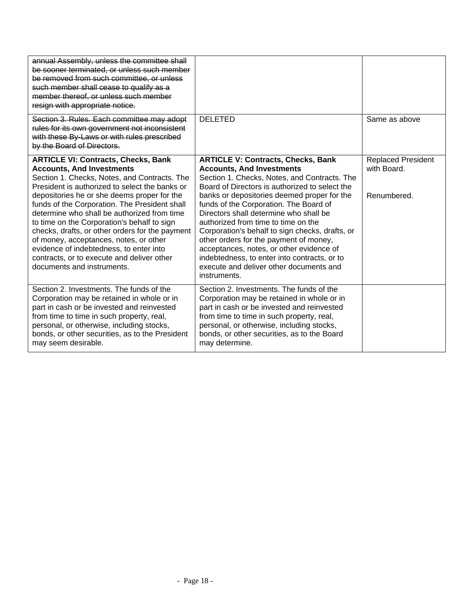| annual Assembly, unless the committee shall<br>be sooner terminated, or unless such member<br>be removed from such committee, or unless<br>such member shall cease to qualify as a<br>member thereof, or unless such member<br>resign with appropriate notice.                                                                                                                                                                                                                                                                                                                                     |                                                                                                                                                                                                                                                                                                                                                                                                                                                                                                                                                                                                               |                                                         |
|----------------------------------------------------------------------------------------------------------------------------------------------------------------------------------------------------------------------------------------------------------------------------------------------------------------------------------------------------------------------------------------------------------------------------------------------------------------------------------------------------------------------------------------------------------------------------------------------------|---------------------------------------------------------------------------------------------------------------------------------------------------------------------------------------------------------------------------------------------------------------------------------------------------------------------------------------------------------------------------------------------------------------------------------------------------------------------------------------------------------------------------------------------------------------------------------------------------------------|---------------------------------------------------------|
| Section 3. Rules. Each committee may adopt<br>rules for its own government not inconsistent<br>with these By-Laws or with rules prescribed<br>by the Board of Directors.                                                                                                                                                                                                                                                                                                                                                                                                                           | <b>DELETED</b>                                                                                                                                                                                                                                                                                                                                                                                                                                                                                                                                                                                                | Same as above                                           |
| <b>ARTICLE VI: Contracts, Checks, Bank</b><br><b>Accounts, And Investments</b><br>Section 1. Checks, Notes, and Contracts. The<br>President is authorized to select the banks or<br>depositories he or she deems proper for the<br>funds of the Corporation. The President shall<br>determine who shall be authorized from time<br>to time on the Corporation's behalf to sign<br>checks, drafts, or other orders for the payment<br>of money, acceptances, notes, or other<br>evidence of indebtedness, to enter into<br>contracts, or to execute and deliver other<br>documents and instruments. | <b>ARTICLE V: Contracts, Checks, Bank</b><br><b>Accounts, And Investments</b><br>Section 1. Checks, Notes, and Contracts. The<br>Board of Directors is authorized to select the<br>banks or depositories deemed proper for the<br>funds of the Corporation. The Board of<br>Directors shall determine who shall be<br>authorized from time to time on the<br>Corporation's behalf to sign checks, drafts, or<br>other orders for the payment of money,<br>acceptances, notes, or other evidence of<br>indebtedness, to enter into contracts, or to<br>execute and deliver other documents and<br>instruments. | <b>Replaced President</b><br>with Board.<br>Renumbered. |
| Section 2. Investments. The funds of the<br>Corporation may be retained in whole or in<br>part in cash or be invested and reinvested<br>from time to time in such property, real,<br>personal, or otherwise, including stocks,<br>bonds, or other securities, as to the President<br>may seem desirable.                                                                                                                                                                                                                                                                                           | Section 2. Investments. The funds of the<br>Corporation may be retained in whole or in<br>part in cash or be invested and reinvested<br>from time to time in such property, real,<br>personal, or otherwise, including stocks,<br>bonds, or other securities, as to the Board<br>may determine.                                                                                                                                                                                                                                                                                                               |                                                         |